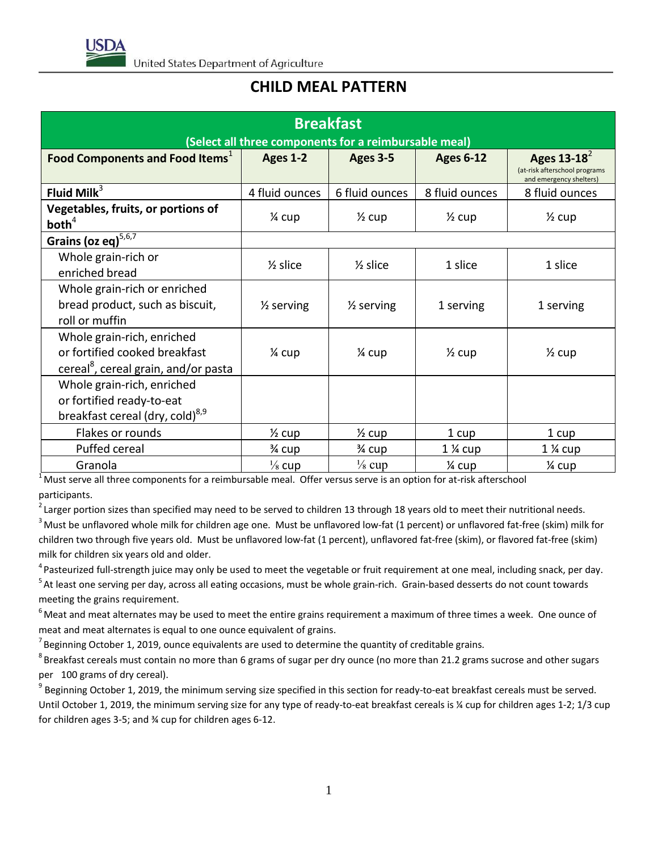

## **CHILD MEAL PATTERN**

| <b>Breakfast</b><br>(Select all three components for a reimbursable meal)                                       |                       |                       |                   |                                                                            |  |  |  |  |
|-----------------------------------------------------------------------------------------------------------------|-----------------------|-----------------------|-------------------|----------------------------------------------------------------------------|--|--|--|--|
| Food Components and Food Items <sup>1</sup>                                                                     | Ages 1-2              | Ages 3-5              | <b>Ages 6-12</b>  | Ages $13-18^2$<br>(at-risk afterschool programs<br>and emergency shelters) |  |  |  |  |
| Fluid Milk $3$                                                                                                  | 4 fluid ounces        | 6 fluid ounces        | 8 fluid ounces    | 8 fluid ounces                                                             |  |  |  |  |
| Vegetables, fruits, or portions of<br>both <sup>4</sup>                                                         | 1⁄4 cup               | $\frac{1}{2}$ cup     | $\frac{1}{2}$ cup | $\frac{1}{2}$ cup                                                          |  |  |  |  |
| Grains (oz eq) <sup>5,6,7</sup>                                                                                 |                       |                       |                   |                                                                            |  |  |  |  |
| Whole grain-rich or<br>enriched bread                                                                           | $\frac{1}{2}$ slice   | $\frac{1}{2}$ slice   | 1 slice           | 1 slice                                                                    |  |  |  |  |
| Whole grain-rich or enriched<br>bread product, such as biscuit,<br>roll or muffin                               | $\frac{1}{2}$ serving | $\frac{1}{2}$ serving | 1 serving         | 1 serving                                                                  |  |  |  |  |
| Whole grain-rich, enriched<br>or fortified cooked breakfast<br>cereal <sup>8</sup> , cereal grain, and/or pasta | 1⁄4 cup               | $\frac{1}{4}$ cup     | $\frac{1}{2}$ cup | $\frac{1}{2}$ cup                                                          |  |  |  |  |
| Whole grain-rich, enriched<br>or fortified ready-to-eat<br>breakfast cereal (dry, cold) <sup>8,9</sup>          |                       |                       |                   |                                                                            |  |  |  |  |
| Flakes or rounds                                                                                                | $\frac{1}{2}$ cup     | $\frac{1}{2}$ cup     | 1 cup             | 1 cup                                                                      |  |  |  |  |
| Puffed cereal                                                                                                   | 3⁄4 cup               | 3⁄4 cup               | 1 % cup           | $1\%$ cup                                                                  |  |  |  |  |
| Granola                                                                                                         | $\frac{1}{8}$ cup     | $\frac{1}{8}$ cup     | 1⁄4 cup           | 1⁄4 cup                                                                    |  |  |  |  |

 $1<sup>1</sup>$  Must serve all three components for a reimbursable meal. Offer versus serve is an option for at-risk afterschool participants.

 $^2$ Larger portion sizes than specified may need to be served to children 13 through 18 years old to meet their nutritional needs. <sup>3</sup> Must be unflavored whole milk for children age one. Must be unflavored low-fat (1 percent) or unflavored fat-free (skim) milk for children two through five years old. Must be unflavored low-fat (1 percent), unflavored fat-free (skim), or flavored fat-free (skim) milk for children six years old and older.

<sup>4</sup> Pasteurized full-strength juice may only be used to meet the vegetable or fruit requirement at one meal, including snack, per day. <sup>5</sup> At least one serving per day, across all eating occasions, must be whole grain-rich. Grain-based desserts do not count towards meeting the grains requirement.

 $6$ Meat and meat alternates may be used to meet the entire grains requirement a maximum of three times a week. One ounce of meat and meat alternates is equal to one ounce equivalent of grains.

 $^7$ Beginning October 1, 2019, ounce equivalents are used to determine the quantity of creditable grains.

 $^8$ Breakfast cereals must contain no more than 6 grams of sugar per dry ounce (no more than 21.2 grams sucrose and other sugars per 100 grams of dry cereal).

 $^9$  Beginning October 1, 2019, the minimum serving size specified in this section for ready-to-eat breakfast cereals must be served. Until October 1, 2019, the minimum serving size for any type of ready-to-eat breakfast cereals is % cup for children ages 1-2; 1/3 cup for children ages 3-5; and ¾ cup for children ages 6-12.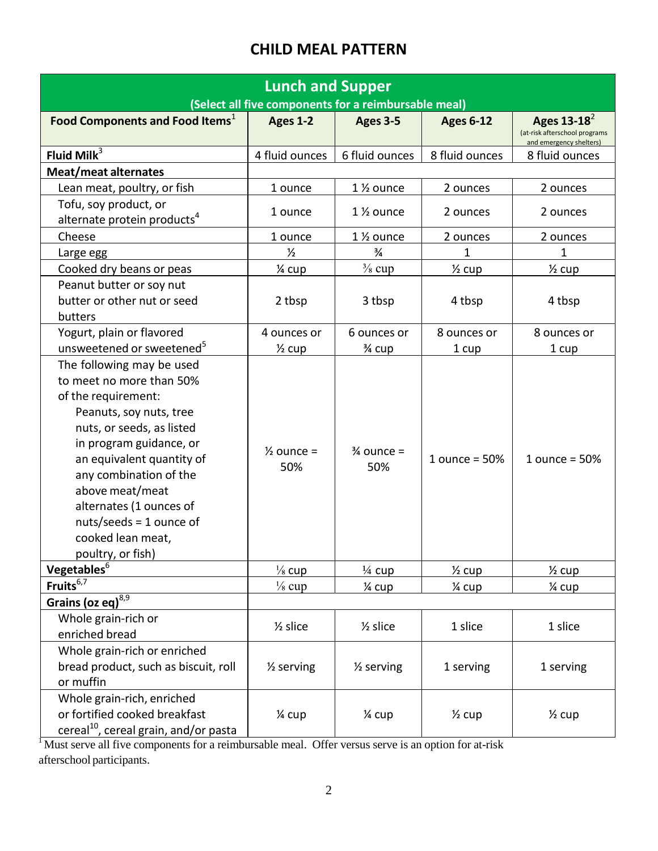## **CHILD MEAL PATTERN**

| <b>Lunch and Supper</b>                                                                                                                                                                                                                                                                                                                     |                              |                              |                   |                                                                            |  |  |  |
|---------------------------------------------------------------------------------------------------------------------------------------------------------------------------------------------------------------------------------------------------------------------------------------------------------------------------------------------|------------------------------|------------------------------|-------------------|----------------------------------------------------------------------------|--|--|--|
| (Select all five components for a reimbursable meal)                                                                                                                                                                                                                                                                                        |                              |                              |                   |                                                                            |  |  |  |
| Food Components and Food Items <sup>1</sup>                                                                                                                                                                                                                                                                                                 | Ages 1-2                     | Ages 3-5                     | <b>Ages 6-12</b>  | Ages $13-18^2$<br>(at-risk afterschool programs<br>and emergency shelters) |  |  |  |
| Fluid Mil $k^3$                                                                                                                                                                                                                                                                                                                             | 4 fluid ounces               | 6 fluid ounces               | 8 fluid ounces    | 8 fluid ounces                                                             |  |  |  |
| Meat/meat alternates                                                                                                                                                                                                                                                                                                                        |                              |                              |                   |                                                                            |  |  |  |
| Lean meat, poultry, or fish                                                                                                                                                                                                                                                                                                                 | 1 ounce                      | 1 % ounce                    | 2 ounces          | 2 ounces                                                                   |  |  |  |
| Tofu, soy product, or<br>alternate protein products <sup>4</sup>                                                                                                                                                                                                                                                                            | 1 ounce                      | $1\%$ ounce                  | 2 ounces          | 2 ounces                                                                   |  |  |  |
| Cheese                                                                                                                                                                                                                                                                                                                                      | 1 ounce                      | 1 % ounce                    | 2 ounces          | 2 ounces                                                                   |  |  |  |
| Large egg                                                                                                                                                                                                                                                                                                                                   | $\frac{1}{2}$                | $\frac{3}{4}$                | 1                 | $\mathbf{1}$                                                               |  |  |  |
| Cooked dry beans or peas                                                                                                                                                                                                                                                                                                                    | 1⁄4 cup                      | $\frac{3}{8}$ cup            | $\frac{1}{2}$ cup | $\frac{1}{2}$ cup                                                          |  |  |  |
| Peanut butter or soy nut<br>butter or other nut or seed<br>butters                                                                                                                                                                                                                                                                          | 2 tbsp                       | 3 tbsp                       | 4 tbsp            | 4 tbsp                                                                     |  |  |  |
| Yogurt, plain or flavored                                                                                                                                                                                                                                                                                                                   | 4 ounces or                  | 6 ounces or                  | 8 ounces or       | 8 ounces or                                                                |  |  |  |
| unsweetened or sweetened <sup>5</sup>                                                                                                                                                                                                                                                                                                       | $\frac{1}{2}$ cup            | 3⁄4 cup                      | 1 cup             | 1 cup                                                                      |  |  |  |
| The following may be used<br>to meet no more than 50%<br>of the requirement:<br>Peanuts, soy nuts, tree<br>nuts, or seeds, as listed<br>in program guidance, or<br>an equivalent quantity of<br>any combination of the<br>above meat/meat<br>alternates (1 ounces of<br>$nuts/seeds = 1$ ounce of<br>cooked lean meat,<br>poultry, or fish) | $\frac{1}{2}$ ounce =<br>50% | $\frac{3}{4}$ ounce =<br>50% | 1 ounce = $50%$   | 1 ounce = $50%$                                                            |  |  |  |
| Vegetables <sup>6</sup>                                                                                                                                                                                                                                                                                                                     | $\frac{1}{8}$ cup            | $\frac{1}{4}$ cup            | $\frac{1}{2}$ cup | $\frac{1}{2}$ cup                                                          |  |  |  |
| Fruits $6,7$                                                                                                                                                                                                                                                                                                                                | $\frac{1}{8}$ cup            | 1⁄4 cup                      | 1⁄4 cup           | 1⁄4 cup                                                                    |  |  |  |
| Grains (oz eq) <sup>8,9</sup>                                                                                                                                                                                                                                                                                                               |                              |                              |                   |                                                                            |  |  |  |
| Whole grain-rich or<br>enriched bread                                                                                                                                                                                                                                                                                                       | $\frac{1}{2}$ slice          | $\frac{1}{2}$ slice          | 1 slice           | 1 slice                                                                    |  |  |  |
| Whole grain-rich or enriched<br>bread product, such as biscuit, roll<br>or muffin                                                                                                                                                                                                                                                           | $\frac{1}{2}$ serving        | $\frac{1}{2}$ serving        | 1 serving         | 1 serving                                                                  |  |  |  |
| Whole grain-rich, enriched<br>or fortified cooked breakfast<br>cereal <sup>10</sup> , cereal grain, and/or pasta                                                                                                                                                                                                                            | 1⁄4 cup                      | 1⁄4 cup                      | $\frac{1}{2}$ cup | $\frac{1}{2}$ cup                                                          |  |  |  |

Must serve all five components for a reimbursable meal. Offer versus serve is an option for at-risk afterschool participants.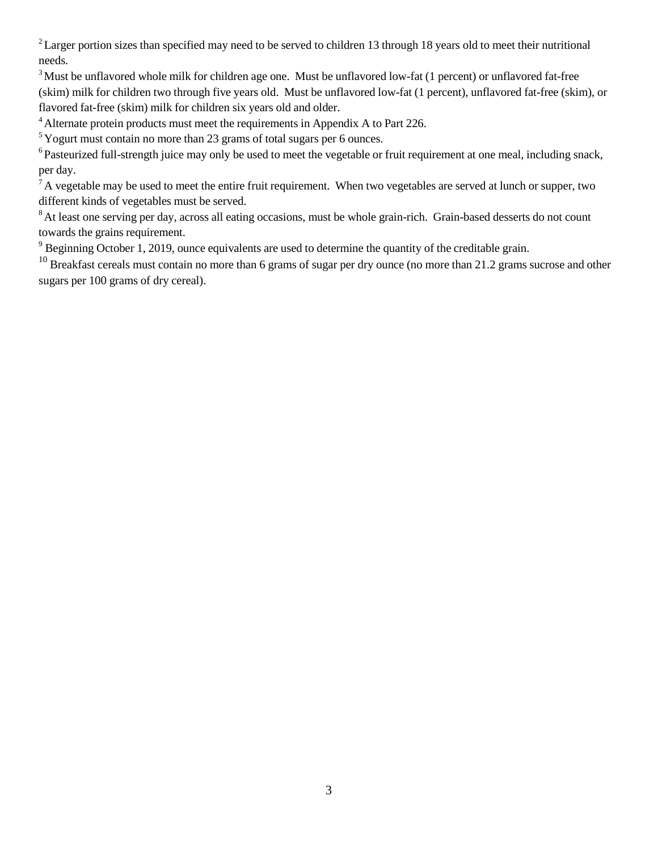$2$  Larger portion sizes than specified may need to be served to children 13 through 18 years old to meet their nutritional needs.

<sup>3</sup> Must be unflavored whole milk for children age one. Must be unflavored low-fat (1 percent) or unflavored fat-free (skim) milk for children two through five years old. Must be unflavored low-fat (1 percent), unflavored fat-free (skim), or flavored fat-free (skim) milk for children six years old and older.

<sup>4</sup> Alternate protein products must meet the requirements in Appendix A to Part 226.

 $5$  Yogurt must contain no more than 23 grams of total sugars per 6 ounces.

<sup>6</sup> Pasteurized full-strength juice may only be used to meet the vegetable or fruit requirement at one meal, including snack, per day.

 $^7$ A vegetable may be used to meet the entire fruit requirement. When two vegetables are served at lunch or supper, two different kinds of vegetables must be served.

<sup>8</sup> At least one serving per day, across all eating occasions, must be whole grain-rich. Grain-based desserts do not count towards the grains requirement.

<sup>9</sup> Beginning October 1, 2019, ounce equivalents are used to determine the quantity of the creditable grain.

 $^{10}$  Breakfast cereals must contain no more than 6 grams of sugar per dry ounce (no more than 21.2 grams sucrose and other sugars per 100 grams of dry cereal).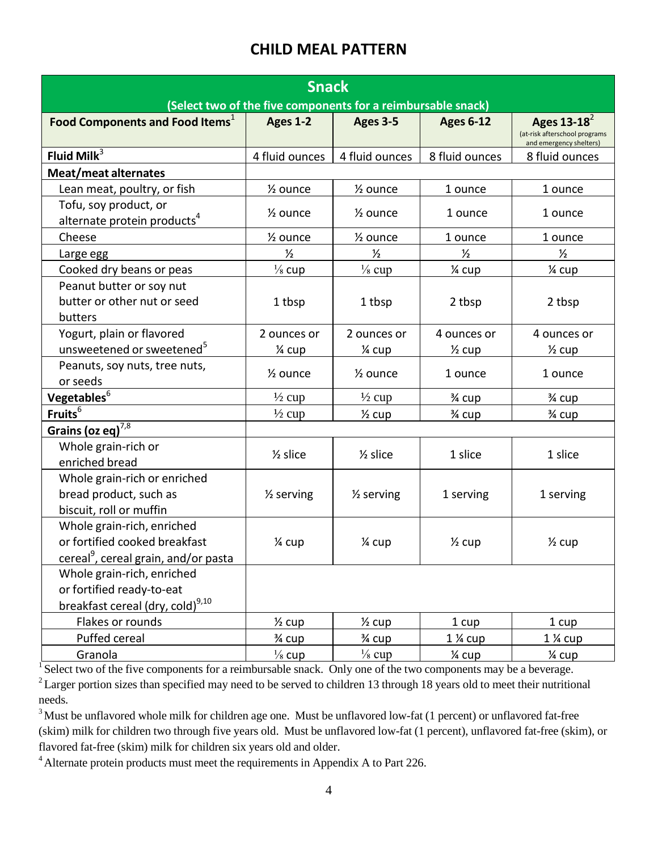## **CHILD MEAL PATTERN**

| <b>Snack</b><br>(Select two of the five components for a reimbursable snack)                                    |                       |                       |                   |                                                                            |  |  |  |
|-----------------------------------------------------------------------------------------------------------------|-----------------------|-----------------------|-------------------|----------------------------------------------------------------------------|--|--|--|
| <b>Food Components and Food Items</b> <sup>1</sup>                                                              | <b>Ages 1-2</b>       | <b>Ages 3-5</b>       | <b>Ages 6-12</b>  | Ages $13-18^2$<br>(at-risk afterschool programs<br>and emergency shelters) |  |  |  |
| Fluid Mil $k^3$                                                                                                 | 4 fluid ounces        | 4 fluid ounces        | 8 fluid ounces    | 8 fluid ounces                                                             |  |  |  |
| <b>Meat/meat alternates</b>                                                                                     |                       |                       |                   |                                                                            |  |  |  |
| Lean meat, poultry, or fish                                                                                     | 1/ <sub>2</sub> ounce | 1/ <sub>2</sub> ounce | 1 ounce           | 1 ounce                                                                    |  |  |  |
| Tofu, soy product, or<br>alternate protein products <sup>4</sup>                                                | 1/ <sub>2</sub> ounce | $\frac{1}{2}$ ounce   | 1 ounce           | 1 ounce                                                                    |  |  |  |
| Cheese                                                                                                          | 1/ <sub>2</sub> ounce | 1/ <sub>2</sub> ounce | 1 ounce           | 1 ounce                                                                    |  |  |  |
| Large egg                                                                                                       | $\frac{1}{2}$         | $\frac{1}{2}$         | $\frac{1}{2}$     | $\frac{1}{2}$                                                              |  |  |  |
| Cooked dry beans or peas                                                                                        | $\frac{1}{8}$ cup     | $\frac{1}{8}$ cup     | 1⁄4 cup           | 1⁄4 cup                                                                    |  |  |  |
| Peanut butter or soy nut<br>butter or other nut or seed<br>butters                                              | 1 tbsp                | 1 tbsp                | 2 tbsp            | 2 tbsp                                                                     |  |  |  |
| Yogurt, plain or flavored                                                                                       | 2 ounces or           | 2 ounces or           | 4 ounces or       | 4 ounces or                                                                |  |  |  |
| unsweetened or sweetened <sup>5</sup>                                                                           | 1⁄4 cup               | $\frac{1}{4}$ cup     | $\frac{1}{2}$ cup | $\frac{1}{2}$ cup                                                          |  |  |  |
| Peanuts, soy nuts, tree nuts,<br>or seeds                                                                       | $\frac{1}{2}$ ounce   | $\frac{1}{2}$ ounce   | 1 ounce           | 1 ounce                                                                    |  |  |  |
| Vegetables <sup>6</sup>                                                                                         | $\frac{1}{2}$ cup     | $\frac{1}{2}$ cup     | 3⁄4 cup           | 3⁄4 cup                                                                    |  |  |  |
| Fruits <sup>6</sup>                                                                                             | $\frac{1}{2}$ cup     | $\frac{1}{2}$ cup     | 3⁄4 cup           | 3⁄4 cup                                                                    |  |  |  |
| Grains (oz eq) $^{7,8}$                                                                                         |                       |                       |                   |                                                                            |  |  |  |
| Whole grain-rich or<br>enriched bread                                                                           | $\frac{1}{2}$ slice   | $\frac{1}{2}$ slice   | 1 slice           | 1 slice                                                                    |  |  |  |
| Whole grain-rich or enriched<br>bread product, such as<br>biscuit, roll or muffin                               | $\frac{1}{2}$ serving | $\frac{1}{2}$ serving | 1 serving         | 1 serving                                                                  |  |  |  |
| Whole grain-rich, enriched<br>or fortified cooked breakfast<br>cereal <sup>9</sup> , cereal grain, and/or pasta | 1⁄4 cup               | $\frac{1}{4}$ cup     | $\frac{1}{2}$ cup | $\frac{1}{2}$ cup                                                          |  |  |  |
| Whole grain-rich, enriched<br>or fortified ready-to-eat<br>breakfast cereal (dry, cold) <sup>9,10</sup>         |                       |                       |                   |                                                                            |  |  |  |
| Flakes or rounds                                                                                                | $\frac{1}{2}$ cup     | $\frac{1}{2}$ cup     | 1 cup             | 1 cup                                                                      |  |  |  |
| Puffed cereal                                                                                                   | 3⁄4 cup               | 3⁄4 cup               | 1 % cup           | 1 % cup                                                                    |  |  |  |
| Granola                                                                                                         | $\frac{1}{8}$ cup     | $\frac{1}{8}$ cup     | 1⁄4 cup           | 1⁄4 cup                                                                    |  |  |  |

 $\sqrt{1}$  Select two of the five components for a reimbursable snack. Only one of the two components may be a beverage.  $2$  Larger portion sizes than specified may need to be served to children 13 through 18 years old to meet their nutritional needs.

<sup>3</sup> Must be unflavored whole milk for children age one. Must be unflavored low-fat (1 percent) or unflavored fat-free (skim) milk for children two through five years old. Must be unflavored low-fat (1 percent), unflavored fat-free (skim), or flavored fat-free (skim) milk for children six years old and older.

<sup>4</sup> Alternate protein products must meet the requirements in Appendix A to Part 226.